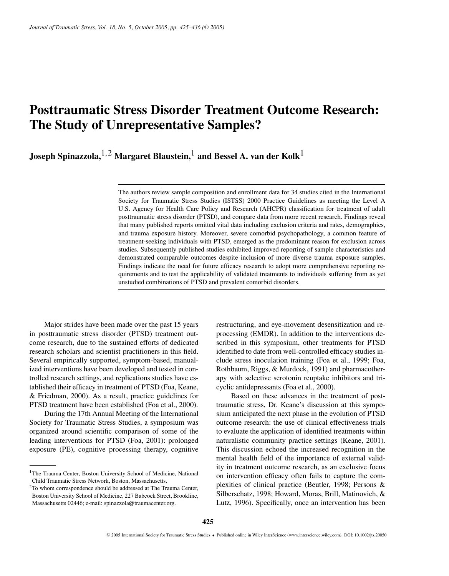# **Posttraumatic Stress Disorder Treatment Outcome Research: The Study of Unrepresentative Samples?**

**Joseph Spinazzola,**1*,*2 **Margaret Blaustein,**1 **and Bessel A. van der Kolk**1

The authors review sample composition and enrollment data for 34 studies cited in the International Society for Traumatic Stress Studies (ISTSS) 2000 Practice Guidelines as meeting the Level A U.S. Agency for Health Care Policy and Research (AHCPR) classification for treatment of adult posttraumatic stress disorder (PTSD), and compare data from more recent research. Findings reveal that many published reports omitted vital data including exclusion criteria and rates, demographics, and trauma exposure history. Moreover, severe comorbid psychopathology, a common feature of treatment-seeking individuals with PTSD, emerged as the predominant reason for exclusion across studies. Subsequently published studies exhibited improved reporting of sample characteristics and demonstrated comparable outcomes despite inclusion of more diverse trauma exposure samples. Findings indicate the need for future efficacy research to adopt more comprehensive reporting requirements and to test the applicability of validated treatments to individuals suffering from as yet unstudied combinations of PTSD and prevalent comorbid disorders.

Major strides have been made over the past 15 years in posttraumatic stress disorder (PTSD) treatment outcome research, due to the sustained efforts of dedicated research scholars and scientist practitioners in this field. Several empirically supported, symptom-based, manualized interventions have been developed and tested in controlled research settings, and replications studies have established their efficacy in treatment of PTSD (Foa, Keane, & Friedman, 2000). As a result, practice guidelines for PTSD treatment have been established (Foa et al., 2000).

During the 17th Annual Meeting of the International Society for Traumatic Stress Studies, a symposium was organized around scientific comparison of some of the leading interventions for PTSD (Foa, 2001): prolonged exposure (PE), cognitive processing therapy, cognitive restructuring, and eye-movement desensitization and reprocessing (EMDR). In addition to the interventions described in this symposium, other treatments for PTSD identified to date from well-controlled efficacy studies include stress inoculation training (Foa et al., 1999; Foa, Rothbaum, Riggs, & Murdock, 1991) and pharmacotherapy with selective serotonin reuptake inhibitors and tricyclic antidepressants (Foa et al., 2000).

Based on these advances in the treatment of posttraumatic stress, Dr. Keane's discussion at this symposium anticipated the next phase in the evolution of PTSD outcome research: the use of clinical effectiveness trials to evaluate the application of identified treatments within naturalistic community practice settings (Keane, 2001). This discussion echoed the increased recognition in the mental health field of the importance of external validity in treatment outcome research, as an exclusive focus on intervention efficacy often fails to capture the complexities of clinical practice (Beutler, 1998; Persons & Silberschatz, 1998; Howard, Moras, Brill, Matinovich, & Lutz, 1996). Specifically, once an intervention has been

<sup>&</sup>lt;sup>1</sup>The Trauma Center, Boston University School of Medicine, National Child Traumatic Stress Network, Boston, Massachusetts.

<sup>&</sup>lt;sup>2</sup>To whom correspondence should be addressed at The Trauma Center, Boston University School of Medicine, 227 Babcock Street, Brookline, Massachusetts 02446; e-mail: spinazzola@traumacenter.org.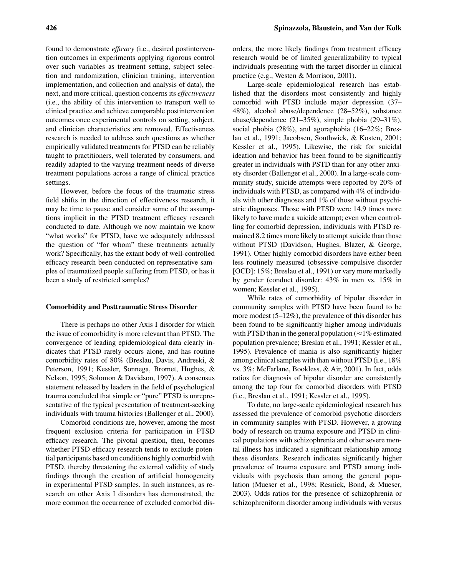found to demonstrate *efficacy* (i.e., desired postintervention outcomes in experiments applying rigorous control over such variables as treatment setting, subject selection and randomization, clinician training, intervention implementation, and collection and analysis of data), the next, and more critical, question concerns its *effectiveness* (i.e., the ability of this intervention to transport well to clinical practice and achieve comparable postintervention outcomes once experimental controls on setting, subject, and clinician characteristics are removed. Effectiveness research is needed to address such questions as whether empirically validated treatments for PTSD can be reliably taught to practitioners, well tolerated by consumers, and readily adapted to the varying treatment needs of diverse treatment populations across a range of clinical practice settings.

However, before the focus of the traumatic stress field shifts in the direction of effectiveness research, it may be time to pause and consider some of the assumptions implicit in the PTSD treatment efficacy research conducted to date. Although we now maintain we know "what works" for PTSD, have we adequately addressed the question of "for whom" these treatments actually work? Specifically, has the extant body of well-controlled efficacy research been conducted on representative samples of traumatized people suffering from PTSD, or has it been a study of restricted samples?

#### **Comorbidity and Posttraumatic Stress Disorder**

There is perhaps no other Axis I disorder for which the issue of comorbidity is more relevant than PTSD. The convergence of leading epidemiological data clearly indicates that PTSD rarely occurs alone, and has routine comorbidity rates of 80% (Breslau, Davis, Andreski, & Peterson, 1991; Kessler, Sonnega, Bromet, Hughes, & Nelson, 1995; Solomon & Davidson, 1997). A consensus statement released by leaders in the field of psychological trauma concluded that simple or "pure" PTSD is unrepresentative of the typical presentation of treatment-seeking individuals with trauma histories (Ballenger et al., 2000).

Comorbid conditions are, however, among the most frequent exclusion criteria for participation in PTSD efficacy research. The pivotal question, then, becomes whether PTSD efficacy research tends to exclude potential participants based on conditions highly comorbid with PTSD, thereby threatening the external validity of study findings through the creation of artificial homogeneity in experimental PTSD samples. In such instances, as research on other Axis I disorders has demonstrated, the more common the occurrence of excluded comorbid dis-

orders, the more likely findings from treatment efficacy research would be of limited generalizability to typical individuals presenting with the target disorder in clinical practice (e.g., Westen & Morrison, 2001).

Large-scale epidemiological research has established that the disorders most consistently and highly comorbid with PTSD include major depression (37– 48%), alcohol abuse/dependence (28–52%), substance abuse/dependence (21–35%), simple phobia (29–31%), social phobia (28%), and agoraphobia (16–22%; Breslau et al., 1991; Jacobsen, Southwick, & Kosten, 2001; Kessler et al., 1995). Likewise, the risk for suicidal ideation and behavior has been found to be significantly greater in individuals with PSTD than for any other anxiety disorder (Ballenger et al., 2000). In a large-scale community study, suicide attempts were reported by 20% of individuals with PTSD, as compared with 4% of individuals with other diagnoses and 1% of those without psychiatric diagnoses. Those with PTSD were 14.9 times more likely to have made a suicide attempt; even when controlling for comorbid depression, individuals with PTSD remained 8.2 times more likely to attempt suicide than those without PTSD (Davidson, Hughes, Blazer, & George, 1991). Other highly comorbid disorders have either been less routinely measured (obsessive-compulsive disorder [OCD]: 15%; Breslau et al., 1991) or vary more markedly by gender (conduct disorder: 43% in men vs. 15% in women; Kessler et al., 1995).

While rates of comorbidity of bipolar disorder in community samples with PTSD have been found to be more modest  $(5-12\%)$ , the prevalence of this disorder has been found to be significantly higher among individuals with PTSD than in the general population ( $\approx$ 1% estimated population prevalence; Breslau et al., 1991; Kessler et al., 1995). Prevalence of mania is also significantly higher among clinical samples with than without PTSD (i.e., 18% vs. 3%; McFarlane, Bookless, & Air, 2001). In fact, odds ratios for diagnosis of bipolar disorder are consistently among the top four for comorbid disorders with PTSD (i.e., Breslau et al., 1991; Kessler et al., 1995).

To date, no large-scale epidemiological research has assessed the prevalence of comorbid psychotic disorders in community samples with PTSD. However, a growing body of research on trauma exposure and PTSD in clinical populations with schizophrenia and other severe mental illness has indicated a significant relationship among these disorders. Research indicates significantly higher prevalence of trauma exposure and PTSD among individuals with psychosis than among the general population (Mueser et al., 1998; Resnick, Bond, & Mueser, 2003). Odds ratios for the presence of schizophrenia or schizophreniform disorder among individuals with versus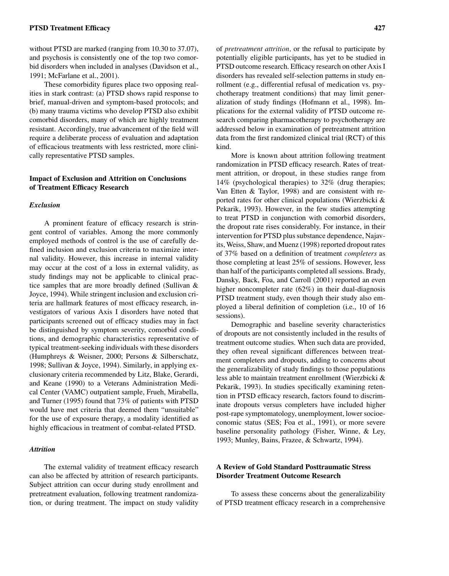without PTSD are marked (ranging from 10.30 to 37.07), and psychosis is consistently one of the top two comorbid disorders when included in analyses (Davidson et al., 1991; McFarlane et al., 2001).

These comorbidity figures place two opposing realities in stark contrast: (a) PTSD shows rapid response to brief, manual-driven and symptom-based protocols; and (b) many trauma victims who develop PTSD also exhibit comorbid disorders, many of which are highly treatment resistant. Accordingly, true advancement of the field will require a deliberate process of evaluation and adaptation of efficacious treatments with less restricted, more clinically representative PTSD samples.

# **Impact of Exclusion and Attrition on Conclusions of Treatment Efficacy Research**

# *Exclusion*

A prominent feature of efficacy research is stringent control of variables. Among the more commonly employed methods of control is the use of carefully defined inclusion and exclusion criteria to maximize internal validity. However, this increase in internal validity may occur at the cost of a loss in external validity, as study findings may not be applicable to clinical practice samples that are more broadly defined (Sullivan & Joyce, 1994). While stringent inclusion and exclusion criteria are hallmark features of most efficacy research, investigators of various Axis I disorders have noted that participants screened out of efficacy studies may in fact be distinguished by symptom severity, comorbid conditions, and demographic characteristics representative of typical treatment-seeking individuals with these disorders (Humphreys & Weisner, 2000; Persons & Silberschatz, 1998; Sullivan & Joyce, 1994). Similarly, in applying exclusionary criteria recommended by Litz, Blake, Gerardi, and Keane (1990) to a Veterans Administration Medical Center (VAMC) outpatient sample, Frueh, Mirabella, and Turner (1995) found that 73% of patients with PTSD would have met criteria that deemed them "unsuitable" for the use of exposure therapy, a modality identified as highly efficacious in treatment of combat-related PTSD.

## *Attrition*

The external validity of treatment efficacy research can also be affected by attrition of research participants. Subject attrition can occur during study enrollment and pretreatment evaluation, following treatment randomization, or during treatment. The impact on study validity of *pretreatment attrition,* or the refusal to participate by potentially eligible participants, has yet to be studied in PTSD outcome research. Efficacy research on other Axis I disorders has revealed self-selection patterns in study enrollment (e.g., differential refusal of medication vs. psychotherapy treatment conditions) that may limit generalization of study findings (Hofmann et al., 1998). Implications for the external validity of PTSD outcome research comparing pharmacotherapy to psychotherapy are addressed below in examination of pretreatment attrition data from the first randomized clinical trial (RCT) of this

kind.

More is known about attrition following treatment randomization in PTSD efficacy research. Rates of treatment attrition, or dropout, in these studies range from 14% (psychological therapies) to 32% (drug therapies; Van Etten & Taylor, 1998) and are consistent with reported rates for other clinical populations (Wierzbicki & Pekarik, 1993). However, in the few studies attempting to treat PTSD in conjunction with comorbid disorders, the dropout rate rises considerably. For instance, in their intervention for PTSD plus substance dependence, Najavits, Weiss, Shaw, and Muenz (1998) reported dropout rates of 37% based on a definition of treatment *completers* as those completing at least 25% of sessions. However, less than half of the participants completed all sessions. Brady, Dansky, Back, Foa, and Carroll (2001) reported an even higher noncompleter rate (62%) in their dual-diagnosis PTSD treatment study, even though their study also employed a liberal definition of completion (i.e., 10 of 16 sessions).

Demographic and baseline severity characteristics of dropouts are not consistently included in the results of treatment outcome studies. When such data are provided, they often reveal significant differences between treatment completers and dropouts, adding to concerns about the generalizability of study findings to those populations less able to maintain treatment enrollment (Wierzbicki & Pekarik, 1993). In studies specifically examining retention in PTSD efficacy research, factors found to discriminate dropouts versus completers have included higher post-rape symptomatology, unemployment, lower socioeconomic status (SES; Foa et al., 1991), or more severe baseline personality pathology (Fisher, Winne, & Ley, 1993; Munley, Bains, Frazee, & Schwartz, 1994).

# **A Review of Gold Standard Posttraumatic Stress Disorder Treatment Outcome Research**

To assess these concerns about the generalizability of PTSD treatment efficacy research in a comprehensive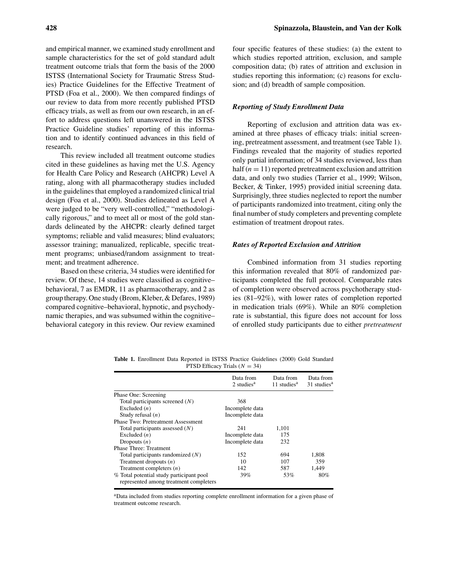and empirical manner, we examined study enrollment and sample characteristics for the set of gold standard adult treatment outcome trials that form the basis of the 2000 ISTSS (International Society for Traumatic Stress Studies) Practice Guidelines for the Effective Treatment of PTSD (Foa et al., 2000). We then compared findings of our review to data from more recently published PTSD efficacy trials, as well as from our own research, in an effort to address questions left unanswered in the ISTSS Practice Guideline studies' reporting of this information and to identify continued advances in this field of research.

This review included all treatment outcome studies cited in these guidelines as having met the U.S. Agency for Health Care Policy and Research (AHCPR) Level A rating, along with all pharmacotherapy studies included in the guidelines that employed a randomized clinical trial design (Foa et al., 2000). Studies delineated as Level A were judged to be "very well-controlled," "methodologically rigorous," and to meet all or most of the gold standards delineated by the AHCPR: clearly defined target symptoms; reliable and valid measures; blind evaluators; assessor training; manualized, replicable, specific treatment programs; unbiased/random assignment to treatment; and treatment adherence.

Based on these criteria, 34 studies were identified for review. Of these, 14 studies were classified as cognitive– behavioral, 7 as EMDR, 11 as pharmacotherapy, and 2 as group therapy. One study (Brom, Kleber, & Defares, 1989) compared cognitive–behavioral, hypnotic, and psychodynamic therapies, and was subsumed within the cognitive– behavioral category in this review. Our review examined four specific features of these studies: (a) the extent to which studies reported attrition, exclusion, and sample composition data; (b) rates of attrition and exclusion in studies reporting this information; (c) reasons for exclusion; and (d) breadth of sample composition.

#### *Reporting of Study Enrollment Data*

Reporting of exclusion and attrition data was examined at three phases of efficacy trials: initial screening, pretreatment assessment, and treatment (see Table 1). Findings revealed that the majority of studies reported only partial information; of 34 studies reviewed, less than half  $(n = 11)$  reported pretreatment exclusion and attrition data, and only two studies (Tarrier et al., 1999; Wilson, Becker, & Tinker, 1995) provided initial screening data. Surprisingly, three studies neglected to report the number of participants randomized into treatment, citing only the final number of study completers and preventing complete estimation of treatment dropout rates.

#### *Rates of Reported Exclusion and Attrition*

Combined information from 31 studies reporting this information revealed that 80% of randomized participants completed the full protocol. Comparable rates of completion were observed across psychotherapy studies (81–92%), with lower rates of completion reported in medication trials (69%). While an 80% completion rate is substantial, this figure does not account for loss of enrolled study participants due to either *pretreatment*

**Table 1.** Enrollment Data Reported in ISTSS Practice Guidelines (2000) Gold Standard PTSD Efficacy Trials (*N* = 34)

|                                                                                    | Data from<br>$2$ studies <sup>a</sup> | Data from<br>$11$ studies <sup>a</sup> | Data from<br>$31$ studies <sup>a</sup> |
|------------------------------------------------------------------------------------|---------------------------------------|----------------------------------------|----------------------------------------|
| Phase One: Screening                                                               |                                       |                                        |                                        |
| Total participants screened $(N)$                                                  | 368                                   |                                        |                                        |
| Excluded $(n)$                                                                     | Incomplete data                       |                                        |                                        |
| Study refusal $(n)$                                                                | Incomplete data                       |                                        |                                        |
| Phase Two: Pretreatment Assessment                                                 |                                       |                                        |                                        |
| Total participants assessed $(N)$                                                  | 241                                   | 1,101                                  |                                        |
| Excluded $(n)$                                                                     | Incomplete data                       | 175                                    |                                        |
| Dropouts $(n)$                                                                     | Incomplete data                       | 232                                    |                                        |
| <b>Phase Three: Treatment</b>                                                      |                                       |                                        |                                        |
| Total participants randomized $(N)$                                                | 152                                   | 694                                    | 1,808                                  |
| Treatment dropouts $(n)$                                                           | 10                                    | 107                                    | 359                                    |
| Treatment completers $(n)$                                                         | 142                                   | 587                                    | 1,449                                  |
| % Total potential study participant pool<br>represented among treatment completers | 39%                                   | 53%                                    | 80%                                    |

aData included from studies reporting complete enrollment information for a given phase of treatment outcome research.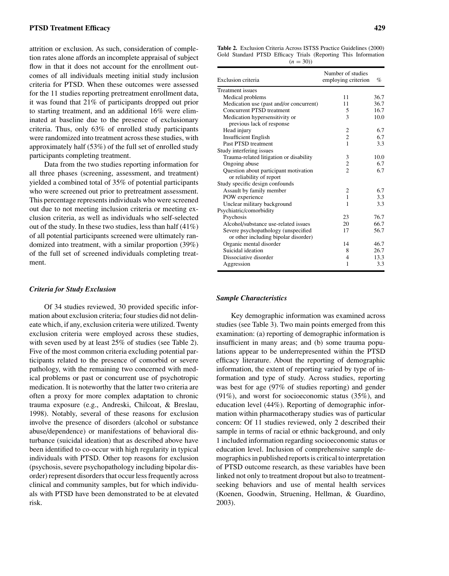attrition or exclusion. As such, consideration of completion rates alone affords an incomplete appraisal of subject flow in that it does not account for the enrollment outcomes of all individuals meeting initial study inclusion criteria for PTSD. When these outcomes were assessed for the 11 studies reporting pretreatment enrollment data, it was found that 21% of participants dropped out prior to starting treatment, and an additional 16% were eliminated at baseline due to the presence of exclusionary criteria. Thus, only 63% of enrolled study participants were randomized into treatment across these studies, with approximately half (53%) of the full set of enrolled study participants completing treatment.

Data from the two studies reporting information for all three phases (screening, assessment, and treatment) yielded a combined total of 35% of potential participants who were screened out prior to pretreatment assessment. This percentage represents individuals who were screened out due to not meeting inclusion criteria or meeting exclusion criteria, as well as individuals who self-selected out of the study. In these two studies, less than half (41%) of all potential participants screened were ultimately randomized into treatment, with a similar proportion (39%) of the full set of screened individuals completing treatment.

#### *Criteria for Study Exclusion*

Of 34 studies reviewed, 30 provided specific information about exclusion criteria; four studies did not delineate which, if any, exclusion criteria were utilized. Twenty exclusion criteria were employed across these studies, with seven used by at least 25% of studies (see Table 2). Five of the most common criteria excluding potential participants related to the presence of comorbid or severe pathology, with the remaining two concerned with medical problems or past or concurrent use of psychotropic medication. It is noteworthy that the latter two criteria are often a proxy for more complex adaptation to chronic trauma exposure (e.g., Andreski, Chilcoat, & Breslau, 1998). Notably, several of these reasons for exclusion involve the presence of disorders (alcohol or substance abuse/dependence) or manifestations of behavioral disturbance (suicidal ideation) that as described above have been identified to co-occur with high regularity in typical individuals with PTSD. Other top reasons for exclusion (psychosis, severe psychopathology including bipolar disorder) represent disorders that occur less frequently across clinical and community samples, but for which individuals with PTSD have been demonstrated to be at elevated risk.

|  |  |            |  | <b>Table 2.</b> Exclusion Criteria Across ISTSS Practice Guidelines (2000) |
|--|--|------------|--|----------------------------------------------------------------------------|
|  |  |            |  | Gold Standard PTSD Efficacy Trials (Reporting This Information             |
|  |  | $(n = 30)$ |  |                                                                            |

| Exclusion criteria                      | Number of studies<br>employing criterion | $\%$ |
|-----------------------------------------|------------------------------------------|------|
| Treatment issues                        |                                          |      |
| Medical problems                        | 11                                       | 36.7 |
| Medication use (past and/or concurrent) | 11                                       | 36.7 |
| Concurrent PTSD treatment               | 5                                        | 16.7 |
| Medication hypersensitivity or          | 3                                        | 10.0 |
| previous lack of response               |                                          |      |
| Head injury                             | 2                                        | 6.7  |
| <b>Insufficient English</b>             | $\overline{c}$                           | 6.7  |
| Past PTSD treatment                     | $\mathbf{1}$                             | 3.3  |
| Study interfering issues                |                                          |      |
| Trauma-related litigation or disability | 3                                        | 10.0 |
| Ongoing abuse                           | $\frac{2}{2}$                            | 6.7  |
| Question about participant motivation   |                                          | 6.7  |
| or reliability of report                |                                          |      |
| Study specific design confounds         |                                          |      |
| Assault by family member                | 2                                        | 6.7  |
| POW experience                          | 1                                        | 3.3  |
| Unclear military background             | 1                                        | 3.3  |
| Psychiatric/comorbidity                 |                                          |      |
| Psychosis                               | 23                                       | 76.7 |
| Alcohol/substance use-related issues    | 20                                       | 66.7 |
| Severe psychopathology (unspecified     | 17                                       | 56.7 |
| or other including bipolar disorder)    |                                          |      |
| Organic mental disorder                 | 14                                       | 46.7 |
| Suicidal ideation                       | 8                                        | 26.7 |
| Dissociative disorder                   | 4                                        | 13.3 |
| Aggression                              | 1                                        | 3.3  |

#### *Sample Characteristics*

Key demographic information was examined across studies (see Table 3). Two main points emerged from this examination: (a) reporting of demographic information is insufficient in many areas; and (b) some trauma populations appear to be underrepresented within the PTSD efficacy literature. About the reporting of demographic information, the extent of reporting varied by type of information and type of study. Across studies, reporting was best for age (97% of studies reporting) and gender (91%), and worst for socioeconomic status (35%), and education level (44%). Reporting of demographic information within pharmacotherapy studies was of particular concern: Of 11 studies reviewed, only 2 described their sample in terms of racial or ethnic background, and only 1 included information regarding socioeconomic status or education level. Inclusion of comprehensive sample demographics in published reports is critical to interpretation of PTSD outcome research, as these variables have been linked not only to treatment dropout but also to treatmentseeking behaviors and use of mental health services (Koenen, Goodwin, Struening, Hellman, & Guardino, 2003).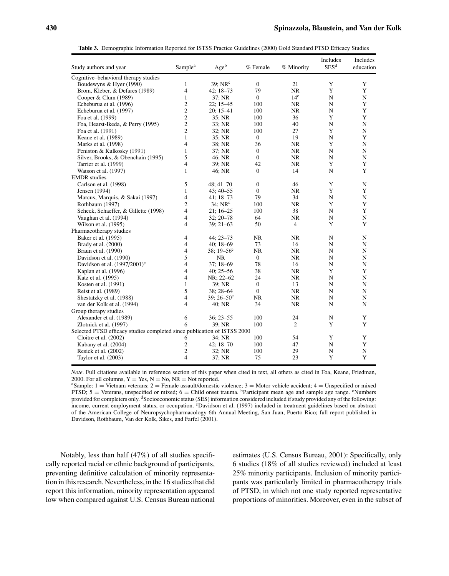| Study authors and year                                                   | Sample <sup>a</sup> | Ageb                  | % Female         | % Minority      | Includes<br>SES <sup>d</sup> | Includes<br>education |
|--------------------------------------------------------------------------|---------------------|-----------------------|------------------|-----------------|------------------------------|-----------------------|
| Cognitive-behavioral therapy studies                                     |                     |                       |                  |                 |                              |                       |
| Boudewyns & Hyer (1990)                                                  | $\mathbf{1}$        | 39:NR <sup>c</sup>    | $\mathbf{0}$     | 21              | Y                            | Y                     |
| Brom, Kleber, & Defares (1989)                                           | $\overline{4}$      | $42:18 - 73$          | 79               | NR.             | Y                            | Y                     |
| Cooper & Clum (1989)                                                     | $\mathbf{1}$        | 37: NR                | $\mathbf{0}$     | 14 <sup>c</sup> | N                            | ${\bf N}$             |
| Echeburua et al. (1996)                                                  | $\overline{c}$      | $22:15-45$            | 100              | NR.             | $\mathbf N$                  | Y                     |
| Echeburua et al. (1997)                                                  | $\mathfrak{2}$      | $20:15-41$            | 100              | NR.             | N                            | Y                     |
| Foa et al. (1999)                                                        | $\overline{c}$      | 35: NR                | 100              | 36              | Y                            | Y                     |
| Foa, Hearst-Ikeda, & Perry (1995)                                        | $\overline{c}$      | 33: NR                | 100              | 40              | ${\bf N}$                    | ${\bf N}$             |
| Foa et al. (1991)                                                        | $\overline{c}$      | 32; NR                | 100              | 27              | Y                            | ${\bf N}$             |
| Keane et al. (1989)                                                      | $\mathbf{1}$        | 35: NR                | $\boldsymbol{0}$ | 19              | ${\bf N}$                    | Y                     |
| Marks et al. (1998)                                                      | $\overline{4}$      | 38: NR                | 36               | NR              | Y                            | ${\bf N}$             |
| Peniston & Kulkosky (1991)                                               | $\mathbf{1}$        | 37; NR                | $\mathbf{0}$     | NR.             | $\mathbf N$                  | ${\bf N}$             |
| Silver, Brooks, & Obenchain (1995)                                       | 5                   | 46: NR                | $\mathbf{0}$     | NR              | ${\bf N}$                    | ${\bf N}$             |
| Tarrier et al. (1999)                                                    | $\overline{4}$      | 39: NR                | 42               | NR.             | Y                            | Y                     |
| Watson et al. (1997)                                                     | $\mathbf{1}$        | 46; NR                | $\Omega$         | 14              | $\mathbf N$                  | Y                     |
| <b>EMDR</b> studies                                                      |                     |                       |                  |                 |                              |                       |
| Carlson et al. (1998)                                                    | 5                   | $48:41 - 70$          | $\mathbf{0}$     | 46              | Y                            | ${\bf N}$             |
| Jensen (1994)                                                            | $\mathbf{1}$        | $43; 40 - 55$         | $\mathbf{0}$     | NR.             | Y                            | Y                     |
| Marcus, Marquis, & Sakai (1997)                                          | $\overline{4}$      | $41:18-73$            | 79               | 34              | $\mathbf N$                  | $\mathbf N$           |
| Rothbaum (1997)                                                          | $\overline{c}$      | 34:NR <sup>c</sup>    | 100              | NR              | Y                            | Y                     |
| Scheck, Schaeffer, & Gillette (1998)                                     | 4                   | $21; 16 - 25$         | 100              | 38              | N                            | Y                     |
| Vaughan et al. (1994)                                                    | 4                   | $32; 20 - 78$         | 64               | NR              | ${\bf N}$                    | ${\bf N}$             |
| Wilson et al. (1995)                                                     | $\overline{4}$      | $39; 21-63$           | 50               | $\overline{4}$  | Y                            | Y                     |
| Pharmacotherapy studies                                                  |                     |                       |                  |                 |                              |                       |
| Baker et al. (1995)                                                      | 4                   | $44:23 - 73$          | <b>NR</b>        | NR.             | $\mathbf N$                  | ${\bf N}$             |
| Brady et al. (2000)                                                      | $\overline{4}$      | $40:18-69$            | 73               | 16              | ${\bf N}$                    | ${\bf N}$             |
| Braun et al. (1990)                                                      | $\overline{4}$      | 38; $19 - 56^c$       | <b>NR</b>        | NR.             | N                            | ${\bf N}$             |
| Davidson et al. (1990)                                                   | 5                   | <b>NR</b>             | $\mathbf{0}$     | NR.             | $\mathbf N$                  | ${\bf N}$             |
| Davidson et al. $(1997/2001)^e$                                          | $\overline{4}$      | $37:18 - 69$          | 78               | 16              | N                            | ${\bf N}$             |
| Kaplan et al. (1996)                                                     | $\overline{4}$      | $40:25 - 56$          | 38               | NR.             | Y                            | Y                     |
| Katz et al. (1995)                                                       | $\overline{4}$      | NR; 22-62             | 24               | NR.             | $\mathbf N$                  | $\mathbf N$           |
| Kosten et al. (1991)                                                     | $\mathbf{1}$        | 39; NR                | $\mathbf{0}$     | 13              | ${\bf N}$                    | ${\bf N}$             |
| Reist et al. (1989)                                                      | 5                   | $38; 28 - 64$         | $\mathbf{0}$     | NR              | $\mathbf N$                  | ${\bf N}$             |
| Shestatzky et al. (1988)                                                 | $\overline{4}$      | $39; 26 - 50^{\circ}$ | NR               | NR.             | $\mathbf N$                  | ${\bf N}$             |
| van der Kolk et al. (1994)                                               | $\overline{4}$      | 40; NR                | 34               | NR              | N                            | ${\bf N}$             |
| Group therapy studies                                                    |                     |                       |                  |                 |                              |                       |
| Alexander et al. (1989)                                                  | 6                   | $36; 23 - 55$         | 100              | 24              | N                            | Y                     |
| Zlotnick et al. (1997)                                                   | 6                   | 39: NR                | 100              | $\overline{2}$  | Y                            | Y                     |
| Selected PTSD efficacy studies completed since publication of ISTSS 2000 |                     |                       |                  |                 |                              |                       |
| Cloitre et al. $(2002)$                                                  | 6                   | 34: NR                | 100              | 54              | Y                            | Y                     |
| Kubany et al. (2004)                                                     | 2                   | $42:18 - 70$          | 100              | 47              | $\mathbf N$                  | Y                     |
| Resick et al. (2002)                                                     | $\mathfrak{2}$      | 32: NR                | 100              | 29              | ${\bf N}$                    | ${\bf N}$             |
| Taylor et al. (2003)                                                     | 4                   | 37; NR                | 75               | 23              | Y                            | Y                     |

**Table 3.** Demographic Information Reported for ISTSS Practice Guidelines (2000) Gold Standard PTSD Efficacy Studies

*Note.* Full citations available in reference section of this paper when cited in text, all others as cited in Foa, Keane, Friedman, 2000. For all columns, Y = Yes, N = No, NR = Not reported.<br><sup>a</sup>Sample: 1 = Vietnam veterans; 2 = Female assault/domestic violence; 3 = Motor vehicle accident; 4 = Unspecified or mixed

PTSD;  $5 =$  Veterans, unspecified or mixed;  $6 =$  Child onset trauma. <sup>b</sup>Participant mean age and sample age range. <sup>c</sup>Numbers provided for completers only. <sup>d</sup>Socioeconomic status (SES) information considered included if study provided any of the following: income, current employment status, or occupation.  $^{\circ}$ Davidson et al. (1997) included in treatment guidelines based on abstract of the American College of Neuropsychopharmacology 6th Annual Meeting, San Juan, Puerto Rico; full report published in Davidson, Rothbaum, Van der Kolk, Sikes, and Farfel (2001).

Notably, less than half (47%) of all studies specifically reported racial or ethnic background of participants, preventing definitive calculation of minority representation in this research. Nevertheless, in the 16 studies that did report this information, minority representation appeared low when compared against U.S. Census Bureau national estimates (U.S. Census Bureau, 2001): Specifically, only 6 studies (18% of all studies reviewed) included at least 25% minority participants. Inclusion of minority participants was particularly limited in pharmacotherapy trials of PTSD, in which not one study reported representative proportions of minorities. Moreover, even in the subset of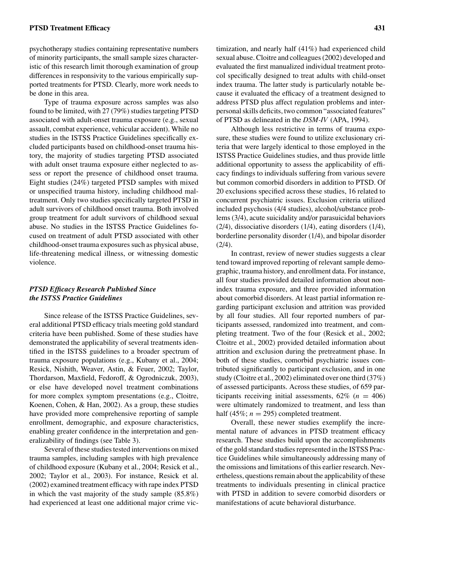psychotherapy studies containing representative numbers of minority participants, the small sample sizes characteristic of this research limit thorough examination of group differences in responsivity to the various empirically supported treatments for PTSD. Clearly, more work needs to be done in this area.

Type of trauma exposure across samples was also found to be limited, with 27 (79%) studies targeting PTSD associated with adult-onset trauma exposure (e.g., sexual assault, combat experience, vehicular accident). While no studies in the ISTSS Practice Guidelines specifically excluded participants based on childhood-onset trauma history, the majority of studies targeting PTSD associated with adult onset trauma exposure either neglected to assess or report the presence of childhood onset trauma. Eight studies (24%) targeted PTSD samples with mixed or unspecified trauma history, including childhood maltreatment. Only two studies specifically targeted PTSD in adult survivors of childhood onset trauma. Both involved group treatment for adult survivors of childhood sexual abuse. No studies in the ISTSS Practice Guidelines focused on treatment of adult PTSD associated with other childhood-onset trauma exposures such as physical abuse, life-threatening medical illness, or witnessing domestic violence.

# *PTSD Efficacy Research Published Since the ISTSS Practice Guidelines*

Since release of the ISTSS Practice Guidelines, several additional PTSD efficacy trials meeting gold standard criteria have been published. Some of these studies have demonstrated the applicability of several treatments identified in the ISTSS guidelines to a broader spectrum of trauma exposure populations (e.g., Kubany et al., 2004; Resick, Nishith, Weaver, Astin, & Feuer, 2002; Taylor, Thordarson, Maxfield, Fedoroff, & Ogrodniczuk, 2003), or else have developed novel treatment combinations for more complex symptom presentations (e.g., Cloitre, Koenen, Cohen, & Han, 2002). As a group, these studies have provided more comprehensive reporting of sample enrollment, demographic, and exposure characteristics, enabling greater confidence in the interpretation and generalizability of findings (see Table 3).

Several of these studies tested interventions on mixed trauma samples, including samples with high prevalence of childhood exposure (Kubany et al., 2004; Resick et al., 2002; Taylor et al., 2003). For instance, Resick et al. (2002) examined treatment efficacy with rape index PTSD in which the vast majority of the study sample (85.8%) had experienced at least one additional major crime victimization, and nearly half (41%) had experienced child sexual abuse. Cloitre and colleagues (2002) developed and evaluated the first manualized individual treatment protocol specifically designed to treat adults with child-onset index trauma. The latter study is particularly notable because it evaluated the efficacy of a treatment designed to address PTSD plus affect regulation problems and interpersonal skills deficits, two common "associated features" of PTSD as delineated in the *DSM-IV* (APA, 1994).

Although less restrictive in terms of trauma exposure, these studies were found to utilize exclusionary criteria that were largely identical to those employed in the ISTSS Practice Guidelines studies, and thus provide little additional opportunity to assess the applicability of efficacy findings to individuals suffering from various severe but common comorbid disorders in addition to PTSD. Of 20 exclusions specified across these studies, 16 related to concurrent psychiatric issues. Exclusion criteria utilized included psychosis (4/4 studies), alcohol/substance problems (3/4), acute suicidality and/or parasuicidal behaviors (2/4), dissociative disorders (1/4), eating disorders (1/4), borderline personality disorder (1/4), and bipolar disorder  $(2/4)$ .

In contrast, review of newer studies suggests a clear tend toward improved reporting of relevant sample demographic, trauma history, and enrollment data. For instance, all four studies provided detailed information about nonindex trauma exposure, and three provided information about comorbid disorders. At least partial information regarding participant exclusion and attrition was provided by all four studies. All four reported numbers of participants assessed, randomized into treatment, and completing treatment. Two of the four (Resick et al., 2002; Cloitre et al., 2002) provided detailed information about attrition and exclusion during the pretreatment phase. In both of these studies, comorbid psychiatric issues contributed significantly to participant exclusion, and in one study (Cloitre et al., 2002) eliminated over one third (37%) of assessed participants. Across these studies, of 659 participants receiving initial assessments,  $62\%$  ( $n = 406$ ) were ultimately randomized to treatment, and less than half (45%;  $n = 295$ ) completed treatment.

Overall, these newer studies exemplify the incremental nature of advances in PTSD treatment efficacy research. These studies build upon the accomplishments of the gold standard studies represented in the ISTSS Practice Guidelines while simultaneously addressing many of the omissions and limitations of this earlier research. Nevertheless, questions remain about the applicability of these treatments to individuals presenting in clinical practice with PTSD in addition to severe comorbid disorders or manifestations of acute behavioral disturbance.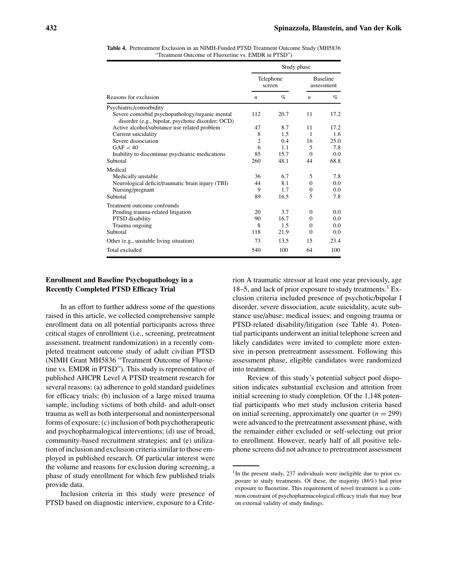| <b>Table 4.</b> Pretreatment Exclusion in an NIMH-Funded PTSD Treatment Outcome Study (MH5836) |  |
|------------------------------------------------------------------------------------------------|--|
| "Treatment Outcome of Fluoxetine vs. EMDR in PTSD"                                             |  |

|                                                                                                     | Study phase    |                     |                               |      |  |  |
|-----------------------------------------------------------------------------------------------------|----------------|---------------------|-------------------------------|------|--|--|
|                                                                                                     |                | Telephone<br>screen | <b>Baseline</b><br>assessment |      |  |  |
| Reasons for exclusion                                                                               | n              | $\%$                | $\boldsymbol{n}$              | $\%$ |  |  |
| Psychiatric/comorbidity                                                                             |                |                     |                               |      |  |  |
| Severe comorbid psychopathology/organic mental<br>disorder (e.g., bipolar, psychotic disorder; OCD) | 112            | 20.7                | 11                            | 17.2 |  |  |
| Active alcohol/substance use related problem                                                        | 47             | 8.7                 | 11                            | 17.2 |  |  |
| Current suicidality                                                                                 | 8              | 1.5                 | 1                             | 1.6  |  |  |
| Severe dissociation                                                                                 | $\overline{2}$ | 0.4                 | 16                            | 25.0 |  |  |
| GAF < 40                                                                                            | 6              | 1.1                 | 5                             | 7.8  |  |  |
| Inability to discontinue psychiatric medications                                                    | 85             | 15.7                | $\Omega$                      | 0.0  |  |  |
| Subtotal                                                                                            | 260            | 48.1                | 44                            | 68.8 |  |  |
| Medical                                                                                             |                |                     |                               |      |  |  |
| Medically unstable                                                                                  | 36             | 6.7                 | 5                             | 7.8  |  |  |
| Neurological deficit/traumatic brain injury (TBI)                                                   | 44             | 8.1                 | $\Omega$                      | 0.0  |  |  |
| Nursing/pregnant                                                                                    | 9              | 1.7                 | $\Omega$                      | 0.0  |  |  |
| Subtotal                                                                                            | 89             | 16.5                | 5                             | 7.8  |  |  |
| Treatment outcome confounds                                                                         |                |                     |                               |      |  |  |
| Pending trauma-related litigation                                                                   | 20             | 3.7                 | $\Omega$                      | 0.0  |  |  |
| PTSD disability                                                                                     | 90             | 16.7                | $\Omega$                      | 0.0  |  |  |
| Trauma ongoing                                                                                      | 8              | 1.5                 | $\Omega$                      | 0.0  |  |  |
| Subtotal                                                                                            | 118            | 21.9                | $\Omega$                      | 0.0  |  |  |
| Other (e.g., unstable living situation)                                                             | 73             | 13.5                | 15                            | 23.4 |  |  |
| Total excluded                                                                                      | 540            | 100                 | 64                            | 100  |  |  |

# **Enrollment and Baseline Psychopathology in a Recently Completed PTSD Efficacy Trial**

In an effort to further address some of the questions raised in this article, we collected comprehensive sample enrollment data on all potential participants across three critical stages of enrollment (i.e., screening, pretreatment assessment, treatment randomization) in a recently completed treatment outcome study of adult civilian PTSD (NIMH Grant MH5836 "Treatment Outcome of Fluoxetine vs. EMDR in PTSD"). This study is representative of published AHCPR Level A PTSD treatment research for several reasons: (a) adherence to gold standard guidelines for efficacy trials; (b) inclusion of a large mixed trauma sample, including victims of both child- and adult-onset trauma as well as both interpersonal and noninterpersonal forms of exposure; (c) inclusion of both psychotherapeutic and psychopharmalogical interventions; (d) use of broad, community-based recruitment strategies; and (e) utilization of inclusion and exclusion criteria similar to those employed in published research. Of particular interest were the volume and reasons for exclusion during screening, a phase of study enrollment for which few published trials provide data.

Inclusion criteria in this study were presence of PTSD based on diagnostic interview, exposure to a Criterion A traumatic stressor at least one year previously, age 18–5, and lack of prior exposure to study treatments.<sup>1</sup> Exclusion criteria included presence of psychotic/bipolar I disorder, severe dissociation, acute suicidality, acute substance use/abuse; medical issues; and ongoing trauma or PTSD-related disability/litigation (see Table 4). Potential participants underwent an initial telephone screen and likely candidates were invited to complete more extensive in-person pretreatment assessment. Following this assessment phase, eligible candidates were randomized into treatment.

Review of this study's potential subject pool disposition indicates substantial exclusion and attrition from initial screening to study completion. Of the 1,148 potential participants who met study inclusion criteria based on initial screening, approximately one quarter  $(n = 299)$ were advanced to the pretreatment assessment phase, with the remainder either excluded or self-selecting out prior to enrollment. However, nearly half of all positive telephone screens did not advance to pretreatment assessment

<sup>&</sup>lt;sup>1</sup>In the present study, 237 individuals were ineligible due to prior exposure to study treatments. Of these, the majority (86%) had prior exposure to fluoxetine. This requirement of novel treatment is a common constraint of psychopharmacological efficacy trials that may bear on external validity of study findings.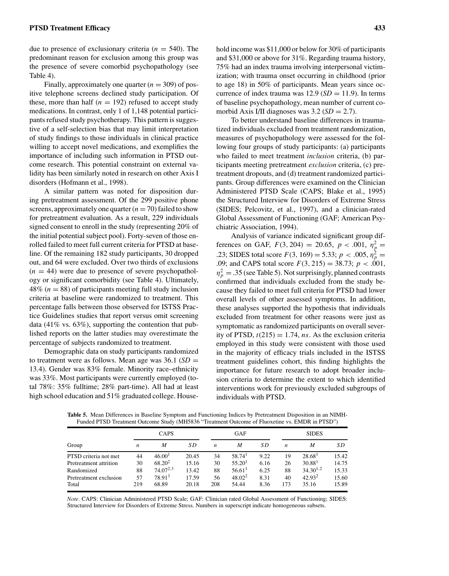due to presence of exclusionary criteria ( $n = 540$ ). The predominant reason for exclusion among this group was the presence of severe comorbid psychopathology (see Table 4).

Finally, approximately one quarter  $(n = 309)$  of positive telephone screens declined study participation. Of these, more than half  $(n = 192)$  refused to accept study medications. In contrast, only 1 of 1,148 potential participants refused study psychotherapy. This pattern is suggestive of a self-selection bias that may limit interpretation of study findings to those individuals in clinical practice willing to accept novel medications, and exemplifies the importance of including such information in PTSD outcome research. This potential constraint on external validity has been similarly noted in research on other Axis I disorders (Hofmann et al., 1998).

A similar pattern was noted for disposition during pretreatment assessment. Of the 299 positive phone screens, approximately one quarter  $(n = 70)$  failed to show for pretreatment evaluation. As a result, 229 individuals signed consent to enroll in the study (representing 20% of the initial potential subject pool). Forty-seven of those enrolled failed to meet full current criteria for PTSD at baseline. Of the remaining 182 study participants, 30 dropped out, and 64 were excluded. Over two thirds of exclusions  $(n = 44)$  were due to presence of severe psychopathology or significant comorbidity (see Table 4). Ultimately,  $48\%$  ( $n = 88$ ) of participants meeting full study inclusion criteria at baseline were randomized to treatment. This percentage falls between those observed for ISTSS Practice Guidelines studies that report versus omit screening data (41% vs. 63%), supporting the contention that published reports on the latter studies may overestimate the percentage of subjects randomized to treatment.

Demographic data on study participants randomized to treatment were as follows. Mean age was  $36.1$  ( $SD =$ 13.4). Gender was 83% female. Minority race–ethnicity was 33%. Most participants were currently employed (total 78%: 35% fulltime; 28% part-time). All had at least high school education and 51% graduated college. Household income was \$11,000 or below for 30% of participants and \$31,000 or above for 31%. Regarding trauma history, 75% had an index trauma involving interpersonal victimization; with trauma onset occurring in childhood (prior to age 18) in 50% of participants. Mean years since occurrence of index trauma was  $12.9$  (*SD* = 11.9). In terms of baseline psychopathology, mean number of current comorbid Axis I/II diagnoses was  $3.2$  (*SD* = 2.7).

To better understand baseline differences in traumatized individuals excluded from treatment randomization, measures of psychopathology were assessed for the following four groups of study participants: (a) participants who failed to meet treatment *inclusion* criteria, (b) participants meeting pretreatment *exclusion* criteria, (c) pretreatment dropouts, and (d) treatment randomized participants. Group differences were examined on the Clinician Administered PTSD Scale (CAPS; Blake et al., 1995) the Structured Interview for Disorders of Extreme Stress (SIDES; Pelcovitz, et al., 1997), and a clinician-rated Global Assessment of Functioning (GAF; American Psychiatric Association, 1994).

Analysis of variance indicated significant group differences on GAF,  $F(3, 204) = 20.65$ ,  $p < .001$ ,  $\eta_p^2 =$ .23; SIDES total score  $F(3, 169) = 5.33; p < .005, \eta_p^2 =$ .09; and CAPS total score  $F(3, 215) = 38.73$ ;  $p < .001$ ,  $\eta_p^2 = 0.35$  (see Table 5). Not surprisingly, planned contrasts confirmed that individuals excluded from the study because they failed to meet full criteria for PTSD had lower overall levels of other assessed symptoms. In addition, these analyses supported the hypothesis that individuals excluded from treatment for other reasons were just as symptomatic as randomized participants on overall severity of PTSD,  $t(215) = 1.74$ , *ns*. As the exclusion criteria employed in this study were consistent with those used in the majority of efficacy trials included in the ISTSS treatment guidelines cohort, this finding highlights the importance for future research to adopt broader inclusion criteria to determine the extent to which identified interventions work for previously excluded subgroups of individuals with PTSD.

**Table 5.** Mean Differences in Baseline Symptom and Functioning Indices by Pretreatment Disposition in an NIMH-Funded PTSD Treatment Outcome Study (MH5836 "Treatment Outcome of Fluoxetine vs. EMDR in PTSD")

|                        |     | <b>CAPS</b>        |       |     | <b>GAF</b>           |      |     | <b>SIDES</b>       |       |  |
|------------------------|-----|--------------------|-------|-----|----------------------|------|-----|--------------------|-------|--|
| Group                  | n   | M                  | SD.   | n   | M                    | SD   | n   | M                  | S D   |  |
| PTSD criteria not met  | 44  | 46.00 <sup>1</sup> | 20.45 | 34  | 58.74 <sup>1</sup>   | 9.22 | 19  | 28.68 <sup>1</sup> | 15.42 |  |
| Pretreatment attrition | 30  | $68.20^{2}$        | 15.16 | 30  | 55.20 <sup>1</sup>   | 6.16 | 26  | 30.88 <sup>1</sup> | 14.75 |  |
| Randomized             | 88  | $74.07^{2,3}$      | 13.42 | 88  | $56.61$ <sup>1</sup> | 6.25 | 88  | $34.30^{1,2}$      | 15.33 |  |
| Pretreatment exclusion | 57  | 78.91 <sup>3</sup> | 17.59 | 56  | $48.02^2$            | 8.31 | 40  | $42.93^{2}$        | 15.60 |  |
| Total                  | 219 | 68.89              | 20.18 | 208 | 54.44                | 8.36 | 173 | 35.16              | 15.89 |  |

*Note.* CAPS: Clinician Administered PTSD Scale; GAF: Clinician rated Global Assessment of Functioning; SIDES: Structured Interview for Disorders of Extreme Stress. Numbers in superscript indicate homogeneous subsets.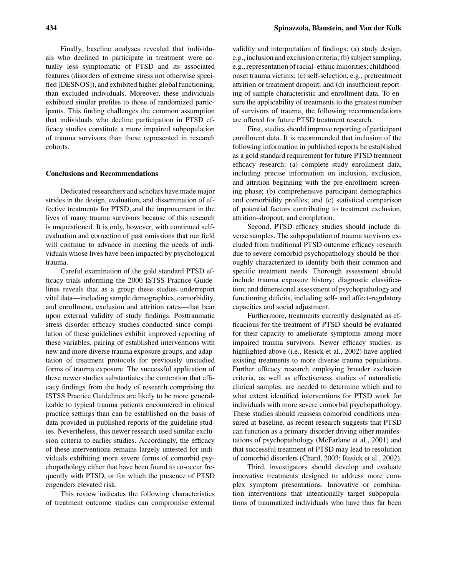Finally, baseline analyses revealed that individuals who declined to participate in treatment were actually less symptomatic of PTSD and its associated features (disorders of extreme stress not otherwise specified [DESNOS]), and exhibited higher global functioning, than excluded individuals. Moreover, these individuals exhibited similar profiles to those of randomized participants. This finding challenges the common assumption that individuals who decline participation in PTSD efficacy studies constitute a more impaired subpopulation of trauma survivors than those represented in research cohorts.

#### **Conclusions and Recommendations**

Dedicated researchers and scholars have made major strides in the design, evaluation, and dissemination of effective treatments for PTSD, and the improvement in the lives of many trauma survivors because of this research is unquestioned. It is only, however, with continued selfevaluation and correction of past omissions that our field will continue to advance in meeting the needs of individuals whose lives have been impacted by psychological trauma.

Careful examination of the gold standard PTSD efficacy trials informing the 2000 ISTSS Practice Guidelines reveals that as a group these studies underreport vital data—including sample demographics, comorbidity, and enrollment, exclusion and attrition rates—that bear upon external validity of study findings. Posttraumatic stress disorder efficacy studies conducted since compilation of these guidelines exhibit improved reporting of these variables, pairing of established interventions with new and more diverse trauma exposure groups, and adaptation of treatment protocols for previously unstudied forms of trauma exposure. The successful application of these newer studies substantiates the contention that efficacy findings from the body of research comprising the ISTSS Practice Guidelines are likely to be more generalizable to typical trauma patients encountered in clinical practice settings than can be established on the basis of data provided in published reports of the guideline studies. Nevertheless, this newer research used similar exclusion criteria to earlier studies. Accordingly, the efficacy of these interventions remains largely untested for individuals exhibiting more severe forms of comorbid psychopathology either that have been found to co-occur frequently with PTSD, or for which the presence of PTSD engenders elevated risk.

This review indicates the following characteristics of treatment outcome studies can compromise external

**434 Spinazzola, Blaustein, and Van der Kolk**

validity and interpretation of findings: (a) study design, e.g., inclusion and exclusion criteria; (b) subject sampling, e.g., representation of racial–ethnic minorities; childhoodonset trauma victims; (c) self-selection, e.g., pretreatment attrition or treatment dropout; and (d) insufficient reporting of sample characteristic and enrollment data. To ensure the applicability of treatments to the greatest number of survivors of trauma, the following recommendations are offered for future PTSD treatment research.

First, studies should improve reporting of participant enrollment data. It is recommended that inclusion of the following information in published reports be established as a gold standard requirement for future PTSD treatment efficacy research: (a) complete study enrollment data, including precise information on inclusion, exclusion, and attrition beginning with the pre-enrollment screening phase; (b) comprehensive participant demographics and comorbidity profiles; and (c) statistical comparison of potential factors contributing to treatment exclusion, attrition–dropout, and completion.

Second, PTSD efficacy studies should include diverse samples. The subpopulation of trauma survivors excluded from traditional PTSD outcome efficacy research due to severe comorbid psychopathology should be thoroughly characterized to identify both their common and specific treatment needs. Thorough assessment should include trauma exposure history; diagnostic classification; and dimensional assessment of psychopathology and functioning deficits, including self- and affect-regulatory capacities and social adjustment.

Furthermore, treatments currently designated as efficacious for the treatment of PTSD should be evaluated for their capacity to ameliorate symptoms among more impaired trauma survivors. Newer efficacy studies, as highlighted above (i.e., Resick et al., 2002) have applied existing treatments to more diverse trauma populations. Further efficacy research employing broader exclusion criteria, as well as effectiveness studies of naturalistic clinical samples, are needed to determine which and to what extent identified interventions for PTSD work for individuals with more severe comorbid psychopathology. These studies should reassess comorbid conditions measured at baseline, as recent research suggests that PTSD can function as a primary disorder driving other manifestations of psychopathology (McFarlane et al., 2001) and that successful treatment of PTSD may lead to resolution of comorbid disorders (Chard, 2003; Resick et al., 2002).

Third, investigators should develop and evaluate innovative treatments designed to address more complex symptom presentations. Innovative or combination interventions that intentionally target subpopulations of traumatized individuals who have thus far been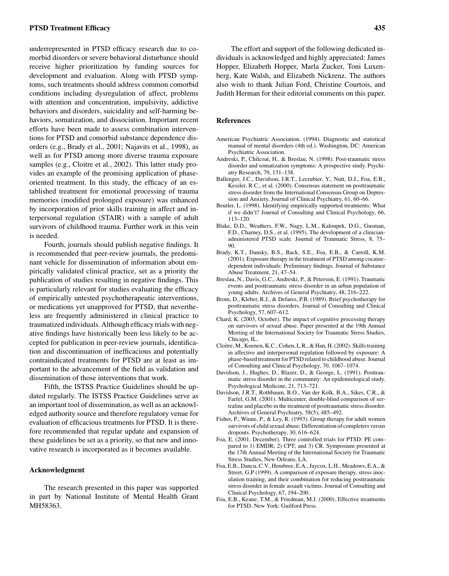underrepresented in PTSD efficacy research due to comorbid disorders or severe behavioral disturbance should receive higher prioritization by funding sources for development and evaluation. Along with PTSD symptoms, such treatments should address common comorbid conditions including dysregulation of affect, problems with attention and concentration, impulsivity, addictive behaviors and disorders, suicidality and self-harming behaviors, somatization, and dissociation. Important recent efforts have been made to assess combination interventions for PTSD and comorbid substance dependence disorders (e.g., Brady et al., 2001; Najavits et al., 1998), as well as for PTSD among more diverse trauma exposure samples (e.g., Cloitre et al., 2002). This latter study provides an example of the promising application of phaseoriented treatment. In this study, the efficacy of an established treatment for emotional processing of trauma memories (modified prolonged exposure) was enhanced by incorporation of prior skills training in affect and interpersonal regulation (STAIR) with a sample of adult survivors of childhood trauma. Further work in this vein is needed.

Fourth, journals should publish negative findings. It is recommended that peer-review journals, the predominant vehicle for dissemination of information about empirically validated clinical practice, set as a priority the publication of studies resulting in negative findings. This is particularly relevant for studies evaluating the efficacy of empirically untested psychotherapeutic interventions, or medications yet unapproved for PTSD, that nevertheless are frequently administered in clinical practice to traumatized individuals. Although efficacy trials with negative findings have historically been less likely to be accepted for publication in peer-review journals, identification and discontinuation of inefficacious and potentially contraindicated treatments for PTSD are at least as important to the advancement of the field as validation and dissemination of those interventions that work.

Fifth, the ISTSS Practice Guidelines should be updated regularly. The ISTSS Practice Guidelines serve as an important tool of dissemination, as well as an acknowledged authority source and therefore regulatory venue for evaluation of efficacious treatments for PTSD. It is therefore recommended that regular update and expansion of these guidelines be set as a priority, so that new and innovative research is incorporated as it becomes available.

## **Acknowledgment**

The research presented in this paper was supported in part by National Institute of Mental Health Grant MH58363.

The effort and support of the following dedicated individuals is acknowledged and highly appreciated: James Hopper, Elizabeth Hopper, Marla Zucker, Toni Luxenberg, Kate Walsh, and Elizabeth Nickrenz. The authors also wish to thank Julian Ford, Christine Courtois, and Judith Herman for their editorial comments on this paper.

## **References**

- American Psychiatric Association. (1994). Diagnostic and statistical manual of mental disorders (4th ed.). Washington, DC: American Psychiatric Association.
- Andreski, P., Chilcoat, H., & Breslau, N. (1998). Post-traumatic stress disorder and somatization symptoms: A prospective study. Psychiatry Research, 79, 131–138.
- Ballenger, J.C., Davidson, J.R.T., Lecrubier, Y., Nutt, D.J., Foa, E.B., Kessler, R.C., et al. (2000). Consensus statement on posttraumatic stress disorder from the International Consensus Group on Depression and Anxiety. Journal of Clinical Psychiatry, 61, 60–66.
- Beutler, L. (1998). Identifying empirically supported treatments: What if we didn't? Journal of Consulting and Clinical Psychology, 66, 113–120.
- Blake, D.D., Weathers, F.W., Nagy, L.M., Kaloupek, D.G., Gusman, F.D., Charney, D.S., et al. (1995). The development of a clinicianadministered PTSD scale. Journal of Traumatic Stress, 8, 75– 90.
- Brady, K.T., Dansky, B.S., Back, S.E., Foa, E.B., & Carroll, K.M. (2001). Exposure therapy in the treatment of PTSD among cocainedependent individuals: Preliminary findings. Journal of Substance Abuse Treatment, 21, 47–54.
- Breslau, N., Davis, G.C., Andreski, P., & Peterson, E. (1991). Traumatic events and posttraumatic stress disorder in an urban population of young adults. Archives of General Psychiatry, 48, 216–222.
- Brom, D., Kleber, R.J., & Defares, P.B. (1989). Brief psychotherapy for posttraumatic stress disorders. Journal of Consulting and Clinical Psychology, 57, 607–612.
- Chard, K. (2003, October). The impact of cognitive processing therapy on survivors of sexual abuse. Paper presented at the 19th Annual Meeting of the International Society for Traumatic Stress Studies, Chicago, IL.
- Cloitre, M., Koenen, K.C., Cohen, L.R., & Han, H. (2002). Skills training in affective and interpersonal regulation followed by exposure: A phase-based treatment for PTSD related to childhood abuse. Journal of Consulting and Clinical Psychology, 70, 1067–1074.
- Davidson, J., Hughes, D., Blazer, D., & George, L. (1991). Posttraumatic stress disorder in the community: An epidemiological study. Psychological Medicine, 21, 713–721.
- Davidson, J.R.T., Rothbaum, B.O., Van der Kolk, B.A., Sikes, C.R., & Farfel, G.M. (2001). Multicenter, double-blind comparison of sertraline and placebo in the treatment of posttraumatic stress disorder. Archives of General Psychiatry, 58(5), 485–492.
- Fisher, P., Winne, P., & Ley, R. (1993). Group therapy for adult women survivors of child sexual abuse: Differentiation of completers versus dropouts. Psychotherapy, 30, 616–624.
- Foa, E. (2001, December). Three controlled trials for PTSD: PE compared to 1) EMDR; 2) CPT; and 3) CR. Symposium presented at the 17th Annual Meeting of the International Society for Traumatic Stress Studies, New Orleans, LA.
- Foa, E.B., Dancu, C.V., Hembree, E.A., Jaycox, L.H., Meadows, E.A., & Street, G.P (1999). A comparison of exposure therapy, stress inoculation training, and their combination for reducing posttraumatic stress disorder in female assault victims. Journal of Consulting and Clinical Psychology, 67, 194–200.
- Foa, E.B., Keane, T.M., & Friedman, M.J. (2000). Effective treatments for PTSD. New York: Guilford Press.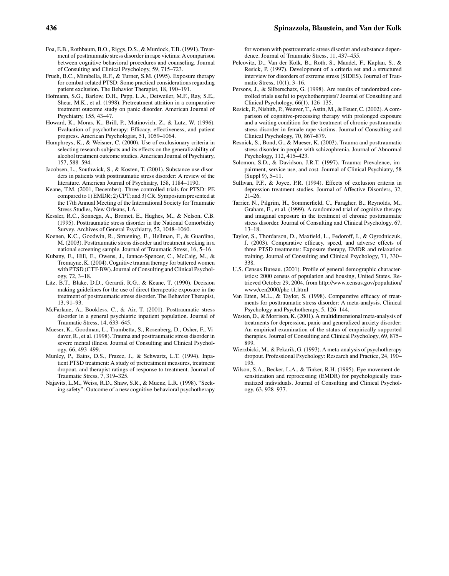- Foa, E.B., Rothbaum, B.O., Riggs, D.S., & Murdock, T.B. (1991). Treatment of posttraumatic stress disorder in rape victims: A comparison between cognitive behavioral procedures and counseling. Journal of Consulting and Clinical Psychology, 59, 715–723.
- Frueh, B.C., Mirabella, R.F., & Turner, S.M. (1995). Exposure therapy for combat-related PTSD: Some practical considerations regarding patient exclusion. The Behavior Therapist, 18, 190–191.
- Hofmann, S.G., Barlow, D.H., Papp, L.A., Detweiler, M.F., Ray, S.E., Shear, M.K., et al. (1998). Pretreatment attrition in a comparative treatment outcome study on panic disorder. American Journal of Psychiatry, 155, 43–47.
- Howard, K., Moras, K., Brill, P., Matinovich, Z., & Lutz, W. (1996). Evaluation of psychotherapy: Efficacy, effectiveness, and patient progress. American Psychologist, 51, 1059–1064.
- Humphreys, K., & Weisner, C. (2000). Use of exclusionary criteria in selecting research subjects and its effects on the generalizability of alcohol treatment outcome studies. American Journal of Psychiatry, 157, 588–594.
- Jacobsen, L., Southwick, S., & Kosten, T. (2001). Substance use disorders in patients with posttraumatic stress disorder: A review of the literature. American Journal of Psychiatry, 158, 1184–1190.
- Keane, T.M. (2001, December). Three controlled trials for PTSD: PE compared to 1) EMDR; 2) CPT; and 3) CR. Symposium presented at the 17th Annual Meeting of the International Society for Traumatic Stress Studies, New Orleans, LA.
- Kessler, R.C., Sonnega, A., Bromet, E., Hughes, M., & Nelson, C.B. (1995). Posttraumatic stress disorder in the National Comorbidity Survey. Archives of General Psychiatry, 52, 1048–1060.
- Koenen, K.C., Goodwin, R., Struening, E., Hellman, F., & Guardino, M. (2003). Posttraumatic stress disorder and treatment seeking in a national screening sample. Journal of Traumatic Stress, 16, 5–16.
- Kubany, E., Hill, E., Owens, J., Iannce-Spencer, C., McCaig, M., & Tremayne, K. (2004). Cognitive trauma therapy for battered women with PTSD (CTT-BW). Journal of Consulting and Clinical Psychology, 72, 3–18.
- Litz, B.T., Blake, D.D., Gerardi, R.G., & Keane, T. (1990). Decision making guidelines for the use of direct therapeutic exposure in the treatment of posttraumatic stress disorder. The Behavior Therapist, 13, 91–93.
- McFarlane, A., Bookless, C., & Air, T. (2001). Posttraumatic stress disorder in a general psychiatric inpatient population. Journal of Traumatic Stress, 14, 633–645.
- Mueser, K., Goodman, L., Trumbetta, S., Rosenberg, D., Osher, F., Vidaver, R., et al. (1998). Trauma and posttraumatic stress disorder in severe mental illness. Journal of Consulting and Clinical Psychology, 66, 493–499.
- Munley, P., Bains, D.S., Frazee, J., & Schwartz, L.T. (1994). Inpatient PTSD treatment: A study of pretreatment measures, treatment dropout, and therapist ratings of response to treatment. Journal of Traumatic Stress, 7, 319–325.
- Najavits, L.M., Weiss, R.D., Shaw, S.R., & Muenz, L.R. (1998). "Seeking safety": Outcome of a new cognitive-behavioral psychotherapy

for women with posttraumatic stress disorder and substance dependence. Journal of Traumatic Stress, 11, 437–455.

- Pelcovitz, D., Van der Kolk, B., Roth, S., Mandel, F., Kaplan, S., & Resick, P. (1997). Development of a criteria set and a structured interview for disorders of extreme stress (SIDES). Journal of Traumatic Stress, 10(1), 3–16.
- Persons, J., & Silberschatz, G. (1998). Are results of randomized controlled trials useful to psychotherapists? Journal of Consulting and Clinical Psychology, 66(1), 126–135.
- Resick, P., Nishith, P., Weaver, T., Astin, M., & Feuer, C. (2002). A comparison of cognitive-processing therapy with prolonged exposure and a waiting condition for the treatment of chronic posttraumatic stress disorder in female rape victims. Journal of Consulting and Clinical Psychology, 70, 867–879.
- Resnick, S., Bond, G., & Mueser, K. (2003). Trauma and posttraumatic stress disorder in people with schizophrenia. Journal of Abnormal Psychology, 112, 415–423.
- Solomon, S.D., & Davidson, J.R.T. (1997). Trauma: Prevalence, impairment, service use, and cost. Journal of Clinical Psychiatry, 58 (Suppl 9), 5–11.
- Sullivan, P.F., & Joyce, P.R. (1994). Effects of exclusion criteria in depression treatment studies. Journal of Affective Disorders, 32, 21–26.
- Tarrier, N., Pilgrim, H., Sommerfield, C., Faragher, B., Reynolds, M., Graham, E., et al. (1999). A randomized trial of cognitive therapy and imaginal exposure in the treatment of chronic posttraumatic stress disorder. Journal of Consulting and Clinical Psychology, 67, 13–18.
- Taylor, S., Thordarson, D., Maxfield, L., Fedoroff, I., & Ogrodniczuk, J. (2003). Comparative efficacy, speed, and adverse effects of three PTSD treatments: Exposure therapy, EMDR and relaxation training. Journal of Consulting and Clinical Psychology, 71, 330– 338.
- U.S. Census Bureau. (2001). Profile of general demographic characteristics: 2000 census of population and housing, United States. Retrieved October 29, 2004, from http://www.census.gov/population/ www/cen2000/phc-t1.html
- Van Etten, M.L., & Taylor, S. (1998). Comparative efficacy of treatments for posttraumatic stress disorder: A meta-analysis. Clinical Psychology and Psychotherapy, 5, 126–144.
- Westen, D., & Morrison, K. (2001). A multidimensional meta-analysis of treatments for depression, panic and generalized anxiety disorder: An empirical examination of the status of empirically supported therapies. Journal of Consulting and Clinical Psychology, 69, 875– 899.
- Wierzbicki, M., & Pekarik, G. (1993). A meta-analysis of psychotherapy dropout. Professional Psychology: Research and Practice, 24, 190– 195.
- Wilson, S.A., Becker, L.A., & Tinker, R.H. (1995). Eye movement desensitization and reprocessing (EMDR) for psychologically traumatized individuals. Journal of Consulting and Clinical Psychology, 63, 928–937.